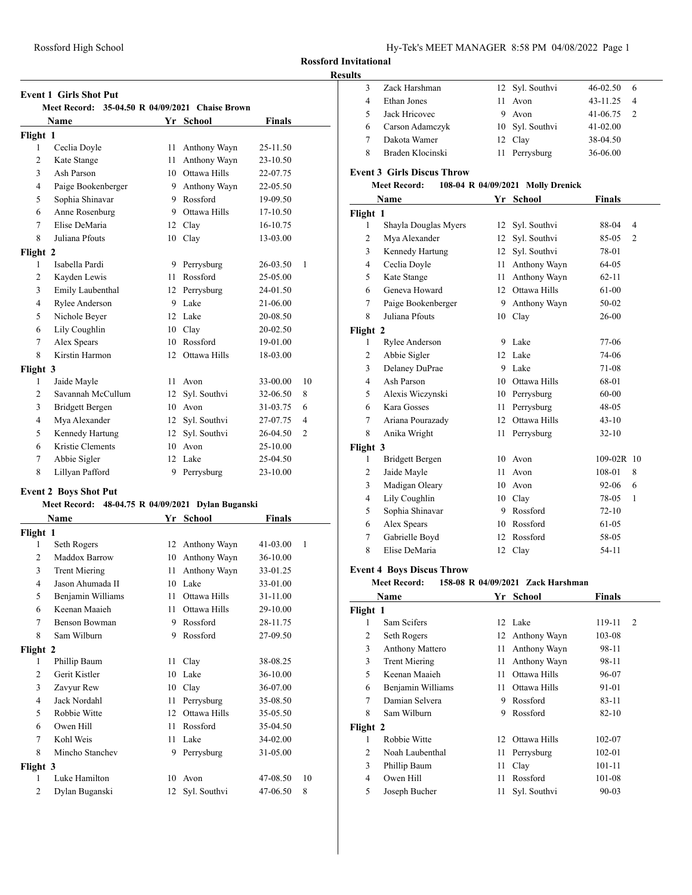### **Results**

|                | <b>Event 1 Girls Shot Put</b>                           |    |              |               |                |
|----------------|---------------------------------------------------------|----|--------------|---------------|----------------|
|                | Meet Record: 35-04.50 R 04/09/2021 Chaise Brown<br>Name |    | Yr School    | <b>Finals</b> |                |
| Flight 1       |                                                         |    |              |               |                |
| 1              | Ceclia Doyle                                            | 11 | Anthony Wayn | 25-11.50      |                |
| $\overline{2}$ | Kate Stange                                             | 11 | Anthony Wayn | 23-10.50      |                |
| 3              | Ash Parson                                              | 10 | Ottawa Hills | 22-07.75      |                |
| $\overline{4}$ | Paige Bookenberger                                      | 9  | Anthony Wayn | 22-05.50      |                |
| 5              | Sophia Shinavar                                         | 9  | Rossford     | 19-09.50      |                |
| 6              | Anne Rosenburg                                          | 9  | Ottawa Hills | 17-10.50      |                |
| 7              | Elise DeMaria                                           | 12 | Clay         | 16-10.75      |                |
| 8              | Juliana Pfouts                                          | 10 | Clay         | 13-03.00      |                |
| Flight 2       |                                                         |    |              |               |                |
| 1              | Isabella Pardi                                          | 9  | Perrysburg   | 26-03.50      | 1              |
| $\overline{c}$ | Kayden Lewis                                            | 11 | Rossford     | 25-05.00      |                |
| 3              | Emily Laubenthal                                        | 12 | Perrysburg   | 24-01.50      |                |
| $\overline{4}$ | Rylee Anderson                                          | 9  | Lake         | 21-06.00      |                |
| 5              | Nichole Beyer                                           | 12 | Lake         | 20-08.50      |                |
| 6              | Lily Coughlin                                           | 10 | Clay         | 20-02.50      |                |
| 7              | Alex Spears                                             | 10 | Rossford     | 19-01.00      |                |
| 8              | Kirstin Harmon                                          | 12 | Ottawa Hills | 18-03.00      |                |
| Flight 3       |                                                         |    |              |               |                |
| 1              | Jaide Mayle                                             | 11 | Avon         | 33-00.00      | 10             |
| $\overline{2}$ | Savannah McCullum                                       | 12 | Syl. Southvi | 32-06.50      | 8              |
| 3              | <b>Bridgett Bergen</b>                                  | 10 | Avon         | 31-03.75      | 6              |
| $\overline{4}$ | Mya Alexander                                           | 12 | Syl. Southvi | 27-07.75      | 4              |
| 5              | Kennedy Hartung                                         | 12 | Syl. Southvi | 26-04.50      | $\overline{2}$ |
| 6              | Kristie Clements                                        | 10 | Avon         | 25-10.00      |                |
| 7              | Abbie Sigler                                            | 12 | Lake         | 25-04.50      |                |
| 8              | Lillyan Pafford                                         | 9  | Perrysburg   | 23-10.00      |                |

## **Event 2 Boys Shot Put**

### **Meet Record: 48-04.75 R 04/09/2021 Dylan Buganski**

| Name           |                      | Yr | <b>School</b> | <b>Finals</b> |    |
|----------------|----------------------|----|---------------|---------------|----|
| Flight 1       |                      |    |               |               |    |
| 1              | Seth Rogers          | 12 | Anthony Wayn  | $41 - 03.00$  | 1  |
| $\overline{2}$ | Maddox Barrow        | 10 | Anthony Wayn  | 36-10.00      |    |
| 3              | <b>Trent Miering</b> | 11 | Anthony Wayn  | 33-01.25      |    |
| 4              | Jason Ahumada II     | 10 | Lake          | 33-01.00      |    |
| 5              | Benjamin Williams    | 11 | Ottawa Hills  | 31-11.00      |    |
| 6              | Keenan Maaieh        | 11 | Ottawa Hills  | 29-10.00      |    |
| 7              | Benson Bowman        | 9  | Rossford      | 28-11.75      |    |
| 8              | Sam Wilburn          | 9  | Rossford      | 27-09.50      |    |
| Flight 2       |                      |    |               |               |    |
| 1              | Phillip Baum         | 11 | Clay          | 38-08.25      |    |
| $\overline{c}$ | Gerit Kistler        | 10 | Lake          | 36-10.00      |    |
| 3              | Zavyur Rew           | 10 | Clay          | 36-07.00      |    |
| 4              | Jack Nordahl         | 11 | Perrysburg    | 35-08.50      |    |
| 5              | Robbie Witte         | 12 | Ottawa Hills  | 35-05.50      |    |
| 6              | Owen Hill            | 11 | Rossford      | 35-04.50      |    |
| 7              | Kohl Weis            | 11 | Lake          | 34-02.00      |    |
| 8              | Mincho Stanchev      | 9  | Perrysburg    | 31-05.00      |    |
| Flight 3       |                      |    |               |               |    |
| 1              | Luke Hamilton        | 10 | Avon          | 47-08.50      | 10 |
| $\overline{2}$ | Dylan Buganski       | 12 | Syl. Southvi  | 47-06.50      | 8  |

| ,,,,,          |                                   |    |                                   |               |                |
|----------------|-----------------------------------|----|-----------------------------------|---------------|----------------|
| 3              | Zack Harshman                     | 12 | Syl. Southvi                      | 46-02.50      | 6              |
| $\overline{4}$ | <b>Ethan Jones</b>                | 11 | Avon                              | 43-11.25      | 4              |
| 5              | Jack Hricovec                     | 9. | Avon                              | 41-06.75      | 2              |
| 6              | Carson Adamczyk                   | 10 | Syl. Southvi                      | 41-02.00      |                |
| 7              | Dakota Wamer                      | 12 | Clay                              | 38-04.50      |                |
| 8              | Braden Klocinski                  | 11 | Perrysburg                        | 36-06.00      |                |
|                | <b>Event 3 Girls Discus Throw</b> |    |                                   |               |                |
|                | <b>Meet Record:</b>               |    | 108-04 R 04/09/2021 Molly Drenick |               |                |
|                | Name                              |    | Yr School                         | Finals        |                |
| Flight 1       |                                   |    |                                   |               |                |
| 1              | Shayla Douglas Myers              |    | 12 Syl. Southvi                   | 88-04         | 4              |
| $\overline{c}$ | Mya Alexander                     | 12 | Syl. Southvi                      | 85-05         | $\overline{2}$ |
| 3              | Kennedy Hartung                   | 12 | Syl. Southvi                      | 78-01         |                |
| $\overline{4}$ | Ceclia Doyle                      | 11 | Anthony Wayn                      | 64-05         |                |
| 5              | Kate Stange                       | 11 | Anthony Wayn                      | $62 - 11$     |                |
| 6              | Geneva Howard                     | 12 | Ottawa Hills                      | 61-00         |                |
| $\overline{7}$ | Paige Bookenberger                |    | 9 Anthony Wayn                    | 50-02         |                |
| 8              | Juliana Pfouts                    |    | 10 Clay                           | 26-00         |                |
| Flight 2       |                                   |    |                                   |               |                |
| 1              | Rylee Anderson                    |    | 9 Lake                            | 77-06         |                |
| 2              | Abbie Sigler                      |    | 12 Lake                           | 74-06         |                |
| 3              | Delaney DuPrae                    |    | 9 Lake                            | 71-08         |                |
| 4              | Ash Parson                        |    | 10 Ottawa Hills                   | 68-01         |                |
| 5              | Alexis Wiczynski                  |    | 10 Perrysburg                     | 60-00         |                |
| 6              | Kara Gosses                       | 11 | Perrysburg                        | 48-05         |                |
| 7              | Ariana Pourazady                  | 12 | Ottawa Hills                      | $43-10$       |                |
| 8              | Anika Wright                      | 11 | Perrysburg                        | $32-10$       |                |
| Flight 3       |                                   |    |                                   |               |                |
| 1              | Bridgett Bergen                   |    | 10 Avon                           | 109-02R 10    |                |
| 2              | Jaide Mayle                       | 11 | Avon                              | 108-01        | 8              |
| 3              | Madigan Oleary                    |    | 10 Avon                           | 92-06         | 6              |
| 4              | Lily Coughlin                     |    | 10 Clay                           | 78-05         | 1              |
| 5              | Sophia Shinavar                   |    | 9 Rossford                        | $72 - 10$     |                |
| 6              | Alex Spears                       |    | 10 Rossford                       | 61-05         |                |
| $\tau$         | Gabrielle Boyd                    |    | 12 Rossford                       | 58-05         |                |
| 8              | Elise DeMaria                     | 12 | Clay                              | 54-11         |                |
|                | <b>Event 4 Boys Discus Throw</b>  |    |                                   |               |                |
|                | <b>Meet Record:</b>               |    | 158-08 R 04/09/2021 Zack Harshman |               |                |
|                | <b>Name</b>                       |    | Yr_School                         | <b>Finals</b> |                |
| Flight 1       |                                   |    |                                   |               |                |
| 1              | Sam Scifers                       |    | 12 Lake                           | 119-11        | $\overline{2}$ |
| $\overline{c}$ | Seth Rogers                       | 12 | Anthony Wayn                      | 103-08        |                |
| 3              | <b>Anthony Mattero</b>            | 11 | Anthony Wayn                      | 98-11         |                |

 Trent Miering 11 Anthony Wayn 98-11 Keenan Maaieh 11 Ottawa Hills 96-07 Benjamin Williams 11 Ottawa Hills 91-01 Damian Selvera 9 Rossford 83-11 Sam Wilburn 9 Rossford 82-10

1 Robbie Witte 12 Ottawa Hills 102-07 2 Noah Laubenthal 11 Perrysburg 102-01 3 Phillip Baum 11 Clay 101-11 Owen Hill 11 Rossford 101-08 Joseph Bucher 11 Syl. Southvi 90-03

**Flight 2**<br>1 Robbie Witte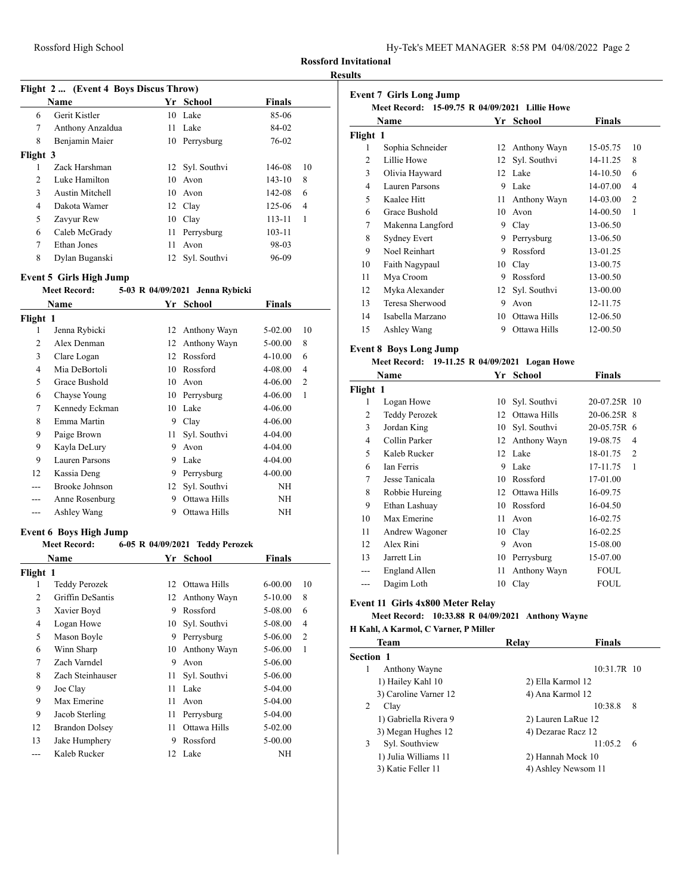| Hy-Tek's MEET MANAGER 8:58 PM 04/08/2022 Page 2 |  |  |  |
|-------------------------------------------------|--|--|--|
|-------------------------------------------------|--|--|--|

### **Results**

# **Flight 2 ... (Event 4 Boys Discus Throw) Name Yr School Finals** Gerit Kistler 10 Lake 85-06 Anthony Anzaldua 11 Lake 84-02 Benjamin Maier 10 Perrysburg 76-02 **Flight 3** Zack Harshman 12 Syl. Southvi 146-08 10 Luke Hamilton 10 Avon 143-10 8 Austin Mitchell 10 Avon 142-08 6 Dakota Wamer 12 Clay 125-06 4 Zavyur Rew 10 Clay 113-11 1 Caleb McGrady 11 Perrysburg 103-11 Ethan Jones 11 Avon 98-03 Dylan Buganski 12 Syl. Southvi 96-09

#### **Event 5 Girls High Jump**

### **Meet Record: 5-03 R 04/09/2021 Jenna Rybicki**

| Name     |                | Yr | School          | Finals      |                |  |
|----------|----------------|----|-----------------|-------------|----------------|--|
| Flight 1 |                |    |                 |             |                |  |
| 1        | Jenna Rybicki  |    | 12 Anthony Wayn | 5-02.00     | 10             |  |
| 2        | Alex Denman    | 12 | Anthony Wayn    | 5-00.00     | 8              |  |
| 3        | Clare Logan    | 12 | Rossford        | $4 - 10.00$ | 6              |  |
| 4        | Mia DeBortoli  | 10 | Rossford        | 4-08.00     | 4              |  |
| 5        | Grace Bushold  | 10 | Avon            | 4-06.00     | $\overline{c}$ |  |
| 6        | Chayse Young   | 10 | Perrysburg      | $4 - 06.00$ | 1              |  |
| 7        | Kennedy Eckman | 10 | Lake            | 4-06.00     |                |  |
| 8        | Emma Martin    | 9  | Clay            | 4-06.00     |                |  |
| 9        | Paige Brown    | 11 | Syl. Southvi    | 4-04.00     |                |  |
| 9        | Kayla DeLury   | 9  | Avon            | 4-04.00     |                |  |
| 9        | Lauren Parsons | 9  | Lake            | 4-04.00     |                |  |
| 12       | Kassia Deng    | 9  | Perrysburg      | 4-00.00     |                |  |
|          | Brooke Johnson | 12 | Syl. Southvi    | NΗ          |                |  |
|          | Anne Rosenburg | 9  | Ottawa Hills    | NΗ          |                |  |
|          | Ashley Wang    | 9  | Ottawa Hills    | NΗ          |                |  |

### **Event 6 Boys High Jump**

### **Meet Record: 6-05 R 04/09/2021 Teddy Perozek**

| Name     |                       | Yr | <b>School</b> | <b>Finals</b> |                |
|----------|-----------------------|----|---------------|---------------|----------------|
| Flight 1 |                       |    |               |               |                |
| 1        | Teddy Perozek         | 12 | Ottawa Hills  | $6 - 00.00$   | 10             |
| 2        | Griffin DeSantis      | 12 | Anthony Wayn  | $5 - 10.00$   | 8              |
| 3        | Xavier Boyd           | 9  | Rossford      | 5-08.00       | 6              |
| 4        | Logan Howe            | 10 | Syl. Southvi  | 5-08.00       | $\overline{4}$ |
| 5        | Mason Boyle           | 9  | Perrysburg    | 5-06.00       | $\overline{2}$ |
| 6        | Winn Sharp            | 10 | Anthony Wayn  | 5-06.00       | 1              |
| 7        | Zach Varndel          | 9  | Avon          | 5-06.00       |                |
| 8        | Zach Steinhauser      | 11 | Syl. Southvi  | 5-06.00       |                |
| 9        | Joe Clay              | 11 | Lake          | $5-04.00$     |                |
| 9        | Max Emerine           | 11 | Avon          | $5-04.00$     |                |
| 9        | Jacob Sterling        | 11 | Perrysburg    | 5-04.00       |                |
| 12       | <b>Brandon Dolsey</b> | 11 | Ottawa Hills  | $5-02.00$     |                |
| 13       | Jake Humphery         | 9  | Rossford      | $5 - 00.00$   |                |
|          | Kaleb Rucker          | 12 | Lake          | ΝH            |                |

| <b>Event 7 Girls Long Jump</b><br>Meet Record: 15-09.75 R 04/09/2021 Lillie Howe |                  |    |                 |          |                |
|----------------------------------------------------------------------------------|------------------|----|-----------------|----------|----------------|
|                                                                                  | Name             | Yr | <b>School</b>   | Finals   |                |
| Flight 1                                                                         |                  |    |                 |          |                |
| 1                                                                                | Sophia Schneider | 12 | Anthony Wayn    | 15-05.75 | 10             |
| 2                                                                                | Lillie Howe      | 12 | Syl. Southvi    | 14-11.25 | 8              |
| 3                                                                                | Olivia Hayward   | 12 | Lake            | 14-10.50 | 6              |
| 4                                                                                | Lauren Parsons   | 9  | Lake            | 14-07.00 | 4              |
| 5                                                                                | Kaalee Hitt      | 11 | Anthony Wayn    | 14-03.00 | $\overline{2}$ |
| 6                                                                                | Grace Bushold    | 10 | Avon            | 14-00.50 | 1              |
| 7                                                                                | Makenna Langford | 9  | Clay            | 13-06.50 |                |
| 8                                                                                | Sydney Evert     | 9  | Perrysburg      | 13-06.50 |                |
| 9                                                                                | Noel Reinhart    | 9  | Rossford        | 13-01.25 |                |
| 10                                                                               | Faith Nagypaul   | 10 | Clay            | 13-00.75 |                |
| 11                                                                               | Mya Croom        | 9  | Rossford        | 13-00.50 |                |
| 12                                                                               | Myka Alexander   |    | 12 Syl. Southvi | 13-00.00 |                |
| 13                                                                               | Teresa Sherwood  | 9  | Avon            | 12-11.75 |                |
| 14                                                                               | Isabella Marzano | 10 | Ottawa Hills    | 12-06.50 |                |

#### **Event 8 Boys Long Jump**

### **Meet Record: 19-11.25 R 04/09/2021 Logan Howe**

15 Ashley Wang 9 Ottawa Hills 12-00.50

| Name     |                      | Yr | School       | Finals                     |  |
|----------|----------------------|----|--------------|----------------------------|--|
| Flight 1 |                      |    |              |                            |  |
| 1        | Logan Howe           | 10 | Syl. Southvi | 20-07.25R 10               |  |
| 2        | <b>Teddy Perozek</b> | 12 | Ottawa Hills | 20-06.25R 8                |  |
| 3        | Jordan King          | 10 | Syl. Southvi | 20-05.75R 6                |  |
| 4        | Collin Parker        | 12 | Anthony Wayn | 19-08.75<br>4              |  |
| 5        | Kaleb Rucker         |    | 12 Lake      | 18-01.75<br>$\overline{c}$ |  |
| 6        | Ian Ferris           | 9  | Lake         | 17-11.75<br>1              |  |
| 7        | Jesse Tanicala       | 10 | Rossford     | 17-01.00                   |  |
| 8        | Robbie Hureing       | 12 | Ottawa Hills | 16-09.75                   |  |
| 9        | Ethan Lashuay        | 10 | Rossford     | 16-04.50                   |  |
| 10       | Max Emerine          | 11 | Avon         | 16-02.75                   |  |
| 11       | Andrew Wagoner       |    | 10 Clay      | 16-02.25                   |  |
| 12       | Alex Rini            | 9  | Avon         | 15-08.00                   |  |
| 13       | Jarrett Lin          | 10 | Perrysburg   | 15-07.00                   |  |
| ---      | England Allen        | 11 | Anthony Wayn | FOUL                       |  |
| ---      | Dagim Loth           | 10 | Clay         | FOUL                       |  |

### **Event 11 Girls 4x800 Meter Relay**

## **Meet Record: 10:33.88 R 04/09/2021 Anthony Wayne**

# **H Kahl, A Karmol, C Varner, P Miller**

| <b>Team</b>           | Relay             | Finals              |
|-----------------------|-------------------|---------------------|
| Section 1             |                   |                     |
| Anthony Wayne<br>1    |                   | 10:31.7R 10         |
| 1) Hailey Kahl 10     | 2) Ella Karmol 12 |                     |
| 3) Caroline Varner 12 | 4) Ana Karmol 12  |                     |
| 2<br>Clay             |                   | 10:38.8<br>8        |
| 1) Gabriella Rivera 9 |                   | 2) Lauren LaRue 12  |
| 3) Megan Hughes 12    |                   | 4) Dezarae Racz 12  |
| Syl. Southview<br>3   |                   | 11:05.2<br>6        |
| 1) Julia Williams 11  |                   | 2) Hannah Mock 10   |
| 3) Katie Feller 11    |                   | 4) Ashley Newsom 11 |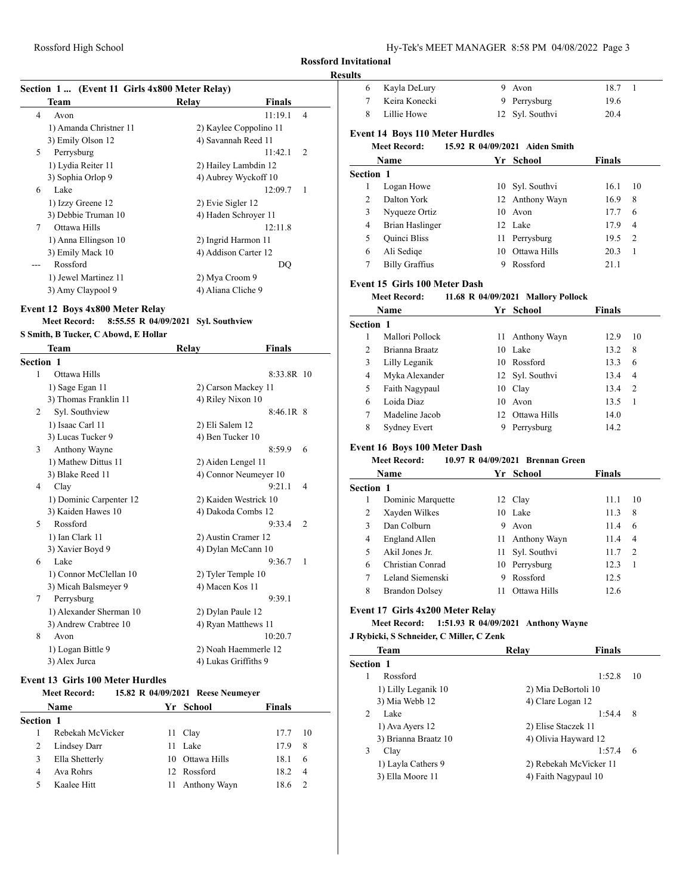## **Results**

| Section 1  (Event 11 Girls 4x800 Meter Relay)    |                                   |                | Kayla DeLury<br>6                        | 9 Avon                                          | 18.7             | -1             |
|--------------------------------------------------|-----------------------------------|----------------|------------------------------------------|-------------------------------------------------|------------------|----------------|
| Team                                             | <b>Finals</b><br>Relay            |                | Keira Konecki<br>7                       | 9 Perrysburg                                    | 19.6             |                |
| Avon<br>4                                        | 11:19.1                           | $\overline{4}$ | 8<br>Lillie Howe                         | 12 Syl. Southvi                                 | 20.4             |                |
| 1) Amanda Christner 11                           | 2) Kaylee Coppolino 11            |                |                                          |                                                 |                  |                |
| 3) Emily Olson 12                                | 4) Savannah Reed 11               |                | <b>Event 14 Boys 110 Meter Hurdles</b>   |                                                 |                  |                |
| Perrysburg<br>5                                  | 11:42.1                           | 2              | <b>Meet Record:</b>                      | 15.92 R 04/09/2021 Aiden Smith                  |                  |                |
| 1) Lydia Reiter 11                               | 2) Hailey Lambdin 12              |                | Name                                     | Yr School                                       | <b>Finals</b>    |                |
| 3) Sophia Orlop 9                                | 4) Aubrey Wyckoff 10              |                | Section 1                                |                                                 |                  |                |
| Lake<br>6                                        | 12:09.7                           | -1             | Logan Howe<br>1                          | 10 Syl. Southvi                                 | 16.1             | 10             |
| 1) Izzy Greene 12                                | 2) Evie Sigler 12                 |                | Dalton York<br>2                         | 12 Anthony Wayn                                 | 16.9             | 8              |
| 3) Debbie Truman 10                              | 4) Haden Schroyer 11              |                | 3<br>Nyqueze Ortiz                       | 10 Avon                                         | 17.7             | 6              |
| Ottawa Hills<br>7                                | 12:11.8                           |                | <b>Brian Haslinger</b><br>4              | 12 Lake                                         | 17.9             | $\overline{4}$ |
| 1) Anna Ellingson 10                             | 2) Ingrid Harmon 11               |                | 5<br>Quinci Bliss                        | 11 Perrysburg                                   | 19.5             | 2              |
| 3) Emily Mack 10                                 | 4) Addison Carter 12              |                | Ali Sediqe<br>6                          | 10 Ottawa Hills                                 | 20.3             | -1             |
| Rossford<br>$---$                                | DQ                                |                | <b>Billy Graffius</b><br>7               | 9 Rossford                                      | 21.1             |                |
| 1) Jewel Martinez 11                             | 2) Mya Croom 9                    |                |                                          |                                                 |                  |                |
| 3) Amy Claypool 9                                | 4) Aliana Cliche 9                |                | Event 15 Girls 100 Meter Dash            |                                                 |                  |                |
|                                                  |                                   |                | <b>Meet Record:</b>                      | 11.68 R 04/09/2021 Mallory Pollock              |                  |                |
| Event 12 Boys 4x800 Meter Relay                  |                                   |                | Name                                     | Yr School                                       | <b>Finals</b>    |                |
| Meet Record: 8:55.55 R 04/09/2021 Syl. Southview |                                   |                | Section 1                                |                                                 |                  |                |
| S Smith, B Tucker, C Abowd, E Hollar             |                                   |                | Mallori Pollock<br>1                     | 11 Anthony Wayn                                 | 12.9             | 10             |
| Team                                             | Relay<br>Finals                   |                | 2<br>Brianna Braatz                      | 10 Lake                                         | 13.2             | 8              |
| Section 1                                        |                                   |                | Lilly Leganik<br>3                       | 10 Rossford                                     | 13.3             | 6              |
| Ottawa Hills<br>1                                | 8:33.8R 10                        |                | Myka Alexander<br>4                      | 12 Syl. Southvi                                 | 13.4             | $\overline{4}$ |
| 1) Sage Egan 11                                  | 2) Carson Mackey 11               |                | Faith Nagypaul<br>5                      | 10 Clay                                         | 13.4             | 2              |
| 3) Thomas Franklin 11                            | 4) Riley Nixon 10                 |                | Loida Diaz<br>6                          | 10 Avon                                         | 13.5             | -1             |
| Syl. Southview<br>2                              | $8:46.1R$ 8                       |                | 7<br>Madeline Jacob                      | 12 Ottawa Hills                                 | 14.0             |                |
| 1) Isaac Carl 11                                 | 2) Eli Salem 12                   |                | 8<br><b>Sydney Evert</b>                 | 9 Perrysburg                                    | 14.2             |                |
| 3) Lucas Tucker 9                                | 4) Ben Tucker 10                  |                |                                          |                                                 |                  |                |
| Anthony Wayne<br>3                               | 8:59.9                            | -6             | Event 16 Boys 100 Meter Dash             |                                                 |                  |                |
| 1) Mathew Dittus 11                              | 2) Aiden Lengel 11                |                | <b>Meet Record:</b>                      | 10.97 R 04/09/2021 Brennan Green                |                  |                |
| 3) Blake Reed 11                                 | 4) Connor Neumeyer 10             |                | Name                                     | Yr School                                       | <b>Finals</b>    |                |
| Clay<br>4                                        | 9:21.1                            | $\overline{4}$ | Section 1                                |                                                 |                  |                |
| 1) Dominic Carpenter 12                          | 2) Kaiden Westrick 10             |                | Dominic Marquette<br>1                   | 12 Clay                                         | 11.1             | 10             |
| 3) Kaiden Hawes 10                               | 4) Dakoda Combs 12                |                | 2<br>Xayden Wilkes                       | 10 Lake                                         | 11.3             | 8              |
| Rossford<br>5                                    | $9:33.4$ 2                        |                | Dan Colburn<br>3                         | 9<br>Avon                                       | 11.4             | 6              |
| 1) Ian Clark 11                                  | 2) Austin Cramer 12               |                | <b>England Allen</b><br>4                | 11 Anthony Wayn                                 | 11.4             | $\overline{4}$ |
| 3) Xavier Boyd 9                                 | 4) Dylan McCann 10                |                | Akil Jones Jr.<br>5                      | 11 Syl. Southvi                                 | 11.7             | 2              |
| Lake<br>6                                        | 9:36.7                            | - 1            | Christian Conrad<br>6                    | 10 Perrysburg                                   | 12.3             | -1             |
| 1) Connor McClellan 10                           | 2) Tyler Temple 10                |                | 7<br>Leland Siemenski                    | 9 Rossford                                      | 12.5             |                |
| 3) Micah Balsmeyer 9                             | 4) Macen Kos 11                   |                | 8<br><b>Brandon Dolsey</b>               | 11 Ottawa Hills                                 | 12.6             |                |
| 7<br>Perrysburg                                  | 9:39.1                            |                |                                          |                                                 |                  |                |
| 1) Alexander Sherman 10                          | 2) Dylan Paule 12                 |                | Event 17 Girls 4x200 Meter Relay         |                                                 |                  |                |
| 3) Andrew Crabtree 10                            | 4) Ryan Matthews 11               |                |                                          | Meet Record: 1:51.93 R 04/09/2021 Anthony Wayne |                  |                |
| 8<br>Avon                                        | 10:20.7                           |                | J Rybicki, S Schneider, C Miller, C Zenk |                                                 |                  |                |
| 1) Logan Bittle 9                                | 2) Noah Haemmerle 12              |                | <b>Team</b>                              | Relay                                           | <b>Finals</b>    |                |
| 3) Alex Jurca                                    | 4) Lukas Griffiths 9              |                | Section 1                                |                                                 |                  |                |
| <b>Event 13 Girls 100 Meter Hurdles</b>          |                                   |                | Rossford<br>1                            |                                                 | 1:52.8           | - 10           |
| <b>Meet Record:</b>                              | 15.82 R 04/09/2021 Reese Neumeyer |                | 1) Lilly Leganik 10                      | 2) Mia DeBortoli 10                             |                  |                |
| Name                                             | Yr School<br><b>Finals</b>        |                | 3) Mia Webb 12                           | 4) Clare Logan 12                               |                  |                |
|                                                  |                                   |                | 2<br>Lake                                |                                                 | $1:54.4$ 8       |                |
| Section 1                                        |                                   |                | 1) Ava Ayers 12                          | 2) Elise Staczek 11                             |                  |                |
| Rebekah McVicker<br>1                            | 11 Clay<br>17.7                   | 10             | 3) Brianna Braatz 10                     | 4) Olivia Hayward 12                            |                  |                |
| Lindsey Darr<br>2                                | 11 Lake<br>17.9                   | 8              | 3<br>Clay                                |                                                 | $1:57.4 \quad 6$ |                |
| Ella Shetterly<br>3                              | 10 Ottawa Hills<br>18.1           | 6              | 1) Layla Cathers 9                       | 2) Rebekah McVicker 11                          |                  |                |
| Ava Rohrs<br>4                                   | 12 Rossford<br>18.2               | $\overline{4}$ | 3) Ella Moore 11                         | 4) Faith Nagypaul 10                            |                  |                |
| 5<br>Kaalee Hitt                                 | 11 Anthony Wayn<br>18.6 2         |                |                                          |                                                 |                  |                |
|                                                  |                                   |                |                                          |                                                 |                  |                |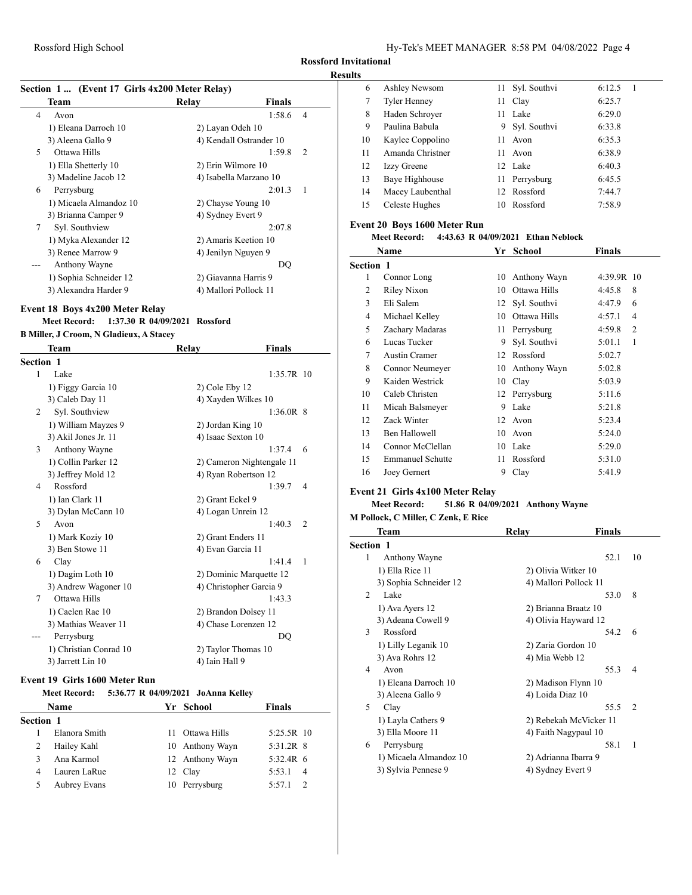### **Results**

|   |                                                                       | Section 1  (Event 17 Girls 4x200 Meter Relay) |              |
|---|-----------------------------------------------------------------------|-----------------------------------------------|--------------|
|   | Team                                                                  | Relay<br><b>Finals</b>                        |              |
| 4 | Avon                                                                  | 1:58.6                                        | 4            |
|   | 1) Eleana Darroch 10                                                  | 2) Layan Odeh 10                              |              |
|   | 3) Aleena Gallo 9                                                     | 4) Kendall Ostrander 10                       |              |
| 5 | Ottawa Hills                                                          | 1:59.8                                        | 2            |
|   | 1) Ella Shetterly 10                                                  | 2) Erin Wilmore 10                            |              |
|   | 3) Madeline Jacob 12                                                  | 4) Isabella Marzano 10                        |              |
| 6 | Perrysburg                                                            | 2:01.3                                        | 1            |
|   | 1) Micaela Almandoz 10                                                | 2) Chayse Young 10                            |              |
|   | 3) Brianna Camper 9                                                   | 4) Sydney Evert 9                             |              |
| 7 | Syl. Southview                                                        | 2:07.8                                        |              |
|   | 1) Myka Alexander 12                                                  | 2) Amaris Keetion 10                          |              |
|   | 3) Renee Marrow 9                                                     | 4) Jenilyn Nguyen 9                           |              |
|   | Anthony Wayne                                                         |                                               | DQ           |
|   | 1) Sophia Schneider 12                                                | 2) Giavanna Harris 9                          |              |
|   | 3) Alexandra Harder 9                                                 | 4) Mallori Pollock 11                         |              |
|   | <b>Meet Record:</b><br><b>B Miller, J Croom, N Gladieux, A Stacey</b> | 1:37.30 R 04/09/2021 Rossford                 |              |
|   | Team                                                                  | Relay<br>Finals                               |              |
|   | <b>Section 1</b>                                                      |                                               |              |
| 1 | Lake                                                                  |                                               | 1:35.7R 10   |
|   | 1) Figgy Garcia 10                                                    | 2) Cole Eby 12                                |              |
|   | 3) Caleb Day 11                                                       | 4) Xayden Wilkes 10                           |              |
| 2 | Syl. Southview                                                        |                                               | $1:36.0R$ 8  |
|   | 1) William Mayzes 9                                                   | 2) Jordan King 10                             |              |
|   | 3) Akil Jones Jr. 11                                                  | 4) Isaac Sexton 10                            |              |
| 3 | Anthony Wayne                                                         | 1:37.4                                        | 6            |
|   | 1) Collin Parker 12                                                   | 2) Cameron Nightengale 11                     |              |
|   | 3) Jeffrey Mold 12                                                    | 4) Ryan Robertson 12                          |              |
| 4 | Rossford                                                              | 1:39.7                                        | 4            |
|   | 1) Ian Clark 11                                                       | 2) Grant Eckel 9                              |              |
|   | 3) Dylan McCann 10                                                    | 4) Logan Unrein 12                            |              |
| 5 | Avon                                                                  | 1:40.3                                        | 2            |
|   | 1) Mark Koziy 10                                                      | 2) Grant Enders 11                            |              |
|   | 3) Ben Stowe 11                                                       | 4) Evan Garcia 11                             |              |
| 6 | Clay                                                                  | 1:41.4                                        | $\mathbf{1}$ |
|   | 1) Dagim Loth 10                                                      | 2) Dominic Marquette 12                       |              |

| Avon                               | 1:40.3<br>- 2               | $\mathbf{m}$ is a choicing $\mathbf{c}$ minimized to extend the integration |
|------------------------------------|-----------------------------|-----------------------------------------------------------------------------|
| 1) Mark Koziy 10                   | 2) Grant Enders 11          | <b>Team</b>                                                                 |
| 3) Ben Stowe 11                    | 4) Evan Garcia 11           | Section 1                                                                   |
| Clay                               | 1:41.4<br>$\overline{1}$    | Anthony Wayne                                                               |
| 1) Dagim Loth 10                   | 2) Dominic Marquette 12     | 1) Ella Rice 11                                                             |
| 3) Andrew Wagoner 10               | 4) Christopher Garcia 9     | 3) Sophia Schneider 12<br>Lake                                              |
| Ottawa Hills                       | 1:43.3                      | 1) Ava Ayers 12                                                             |
| 1) Caelen Rae 10                   | 2) Brandon Dolsey 11        | 3) Adeana Cowell 9                                                          |
| 3) Mathias Weaver 11<br>Perrysburg | 4) Chase Lorenzen 12<br>DO. | Rossford                                                                    |
| 1) Christian Conrad 10             | 2) Taylor Thomas 10         | 1) Lilly Leganik 10                                                         |

## **Event 19 Girls 1600 Meter Run**

7 Ottawa Hills

--- Perrysburg

### **Meet Record: 5:36.77 R 04/09/2021 JoAnna Kelley**

1) Christian Conrad 10 2) Taylor Thomas 3) Jarrett Lin 10 4) Iain Hall 9

|                  | <b>Name</b>   |    | Yr School       | <b>Finals</b>     |                |
|------------------|---------------|----|-----------------|-------------------|----------------|
| <b>Section 1</b> |               |    |                 |                   |                |
|                  | Elanora Smith | 11 | Ottawa Hills    | 5:25.5R 10        |                |
| 2                | Hailey Kahl   |    | 10 Anthony Wayn | 5:31.2R 8         |                |
| ٩                | Ana Karmol    |    | 12 Anthony Wayn | $5:32.4R \quad 6$ |                |
| 4                | Lauren LaRue  |    | 12 Clay         | 5:53.1            | $\overline{4}$ |
| 5                | Aubrey Evans  |    | 10 Perrysburg   | 5:57.1            |                |

| 6  | Ashley Newsom       |    | 11 Syl. Southvi | 6:12.5 |
|----|---------------------|----|-----------------|--------|
| 7  | <b>Tyler Henney</b> | 11 | Clay            | 6:25.7 |
| 8  | Haden Schroyer      | 11 | Lake            | 6:29.0 |
| 9  | Paulina Babula      | 9. | Syl. Southvi    | 6:33.8 |
| 10 | Kaylee Coppolino    | 11 | Avon            | 6:35.3 |
| 11 | Amanda Christner    | 11 | Avon            | 6:38.9 |
| 12 | <b>Izzy Greene</b>  |    | 12 Lake         | 6:40.3 |
| 13 | Baye Highhouse      |    | 11 Perrysburg   | 6:45.5 |
| 14 | Macey Laubenthal    |    | 12 Rossford     | 7:44.7 |
| 15 | Celeste Hughes      | 10 | Rossford        | 7:58.9 |

## **Event 20 Boys 1600 Meter Run**

# **Meet Record: 4:43.63 R 04/09/2021 Ethan Neblock**

|                  | Name                    | Yr | <b>School</b> | Finals                   |
|------------------|-------------------------|----|---------------|--------------------------|
| <b>Section 1</b> |                         |    |               |                          |
| 1                | Connor Long             | 10 | Anthony Wayn  | 4:39.9R 10               |
| 2                | Riley Nixon             | 10 | Ottawa Hills  | 8<br>4:45.8              |
| 3                | Eli Salem               | 12 | Syl. Southvi  | 4:47.9<br>6              |
| 4                | Michael Kelley          | 10 | Ottawa Hills  | 4:57.1<br>4              |
| 5                | Zachary Madaras         | 11 | Perrysburg    | 4:59.8<br>$\overline{c}$ |
| 6                | Lucas Tucker            | 9  | Syl. Southvi  | 5:01.1<br>1              |
| 7                | Austin Cramer           | 12 | Rossford      | 5:02.7                   |
| 8                | Connor Neumeyer         | 10 | Anthony Wayn  | 5:02.8                   |
| 9                | Kaiden Westrick         | 10 | Clay          | 5:03.9                   |
| 10               | Caleb Christen          | 12 | Perrysburg    | 5:11.6                   |
| 11               | Micah Balsmeyer         | 9  | Lake          | 5:21.8                   |
| 12               | Zack Winter             | 12 | Avon          | 5:23.4                   |
| 13               | Ben Hallowell           | 10 | Avon          | 5:24.0                   |
| 14               | Connor McClellan        | 10 | Lake          | 5:29.0                   |
| 15               | <b>Emmanuel Schutte</b> | 11 | Rossford      | 5:31.0                   |
| 16               | Joey Gernert            | 9  | Clay          | 5:41.9                   |

# **Event 21 Girls 4x100 Meter Relay**

### **Meet Record: 51.86 R 04/09/2021 Anthony Wayne**

|                          | M Pollock, C Miller, C Zenk, E Rice |                      |                        |                |  |  |
|--------------------------|-------------------------------------|----------------------|------------------------|----------------|--|--|
|                          | Team                                | Relay                | Finals                 |                |  |  |
| <b>Section 1</b>         |                                     |                      |                        |                |  |  |
| 1                        | Anthony Wayne                       |                      | 52.1                   | 10             |  |  |
|                          | 1) Ella Rice 11                     | 2) Olivia Witker 10  |                        |                |  |  |
|                          | 3) Sophia Schneider 12              |                      | 4) Mallori Pollock 11  |                |  |  |
| 2                        | Lake                                |                      | 53.0                   | 8              |  |  |
|                          | 1) Ava Ayers 12                     |                      | 2) Brianna Braatz 10   |                |  |  |
|                          | 3) Adeana Cowell 9                  |                      | 4) Olivia Hayward 12   |                |  |  |
| 3                        | Rossford                            |                      | 54.2                   | 6              |  |  |
|                          | 1) Lilly Leganik 10                 | 2) Zaria Gordon 10   |                        |                |  |  |
|                          | 3) Ava Rohrs 12                     | 4) Mia Webb 12       |                        |                |  |  |
| $\overline{\mathcal{A}}$ | Avon                                |                      | 55.3                   | 4              |  |  |
|                          | 1) Eleana Darroch 10                |                      | 2) Madison Flynn 10    |                |  |  |
|                          | 3) Aleena Gallo 9                   | 4) Loida Diaz 10     |                        |                |  |  |
| 5                        | Clay                                |                      | 55.5                   | $\overline{2}$ |  |  |
|                          | 1) Layla Cathers 9                  |                      | 2) Rebekah McVicker 11 |                |  |  |
|                          | 3) Ella Moore 11                    |                      | 4) Faith Nagypaul 10   |                |  |  |
| 6                        | Perrysburg                          |                      | 58.1                   | 1              |  |  |
|                          | 1) Micaela Almandoz 10              | 2) Adrianna Ibarra 9 |                        |                |  |  |
|                          | 3) Sylvia Pennese 9                 | 4) Sydney Evert 9    |                        |                |  |  |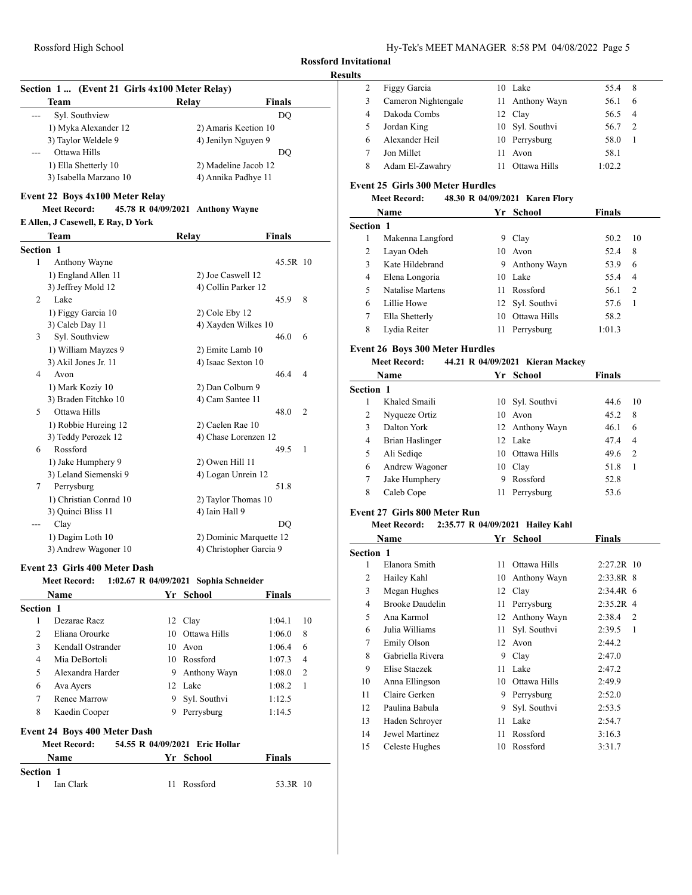### **Results**

| Section 1 (Event 21 Girls 4x100 Meter Relay) |                     |                      |  |  |  |
|----------------------------------------------|---------------------|----------------------|--|--|--|
| <b>Team</b>                                  | Relay               | <b>Finals</b>        |  |  |  |
| Syl. Southview                               |                     | DO                   |  |  |  |
| 1) Myka Alexander 12                         |                     | 2) Amaris Keetion 10 |  |  |  |
| 3) Taylor Weldele 9                          | 4) Jenilyn Nguyen 9 |                      |  |  |  |
| Ottawa Hills                                 |                     | DO                   |  |  |  |
| 1) Ella Shetterly 10                         |                     | 2) Madeline Jacob 12 |  |  |  |
| 3) Isabella Marzano 10                       | 4) Annika Padhye 11 |                      |  |  |  |

### **Event 22 Boys 4x100 Meter Relay**

# **Meet Record: 45.78 R 04/09/2021 Anthony Wayne**

|                  | E Allen, J Casewell, E Ray, D York |                         |                        |  |  |  |
|------------------|------------------------------------|-------------------------|------------------------|--|--|--|
|                  | Team                               | Relay                   | <b>Finals</b>          |  |  |  |
| <b>Section 1</b> |                                    |                         |                        |  |  |  |
| 1                | Anthony Wayne                      |                         | 45.5R 10               |  |  |  |
|                  | 1) England Allen 11                | 2) Joe Caswell 12       |                        |  |  |  |
|                  | 3) Jeffrey Mold 12                 | 4) Collin Parker 12     |                        |  |  |  |
| $\overline{2}$   | Lake                               |                         | 8<br>45.9              |  |  |  |
|                  | 1) Figgy Garcia 10                 | 2) Cole Eby 12          |                        |  |  |  |
|                  | 3) Caleb Day 11                    | 4) Xayden Wilkes 10     |                        |  |  |  |
| 3                | Syl. Southview                     |                         | 46.0<br>6              |  |  |  |
|                  | 1) William Mayzes 9                | 2) Emite Lamb 10        |                        |  |  |  |
|                  | 3) Akil Jones Jr. 11               | 4) Isaac Sexton 10      |                        |  |  |  |
| 4                | Avon                               |                         | 46.4<br>$\overline{4}$ |  |  |  |
|                  | 1) Mark Koziy 10                   | 2) Dan Colburn 9        |                        |  |  |  |
|                  | 3) Braden Fitchko 10               | 4) Cam Santee 11        |                        |  |  |  |
| 5                | Ottawa Hills                       |                         | 48.0<br>$\overline{c}$ |  |  |  |
|                  | 1) Robbie Hureing 12               | 2) Caelen Rae 10        |                        |  |  |  |
|                  | 3) Teddy Perozek 12                | 4) Chase Lorenzen 12    |                        |  |  |  |
| 6                | Rossford                           |                         | 49.5<br>$\mathbf{1}$   |  |  |  |
|                  | 1) Jake Humphery 9                 | 2) Owen Hill 11         |                        |  |  |  |
|                  | 3) Leland Siemenski 9              | 4) Logan Unrein 12      |                        |  |  |  |
| 7                | Perrysburg                         |                         | 51.8                   |  |  |  |
|                  | 1) Christian Conrad 10             | 2) Taylor Thomas 10     |                        |  |  |  |
|                  | 3) Ouinci Bliss 11                 | 4) Iain Hall 9          |                        |  |  |  |
| ---              | Clay                               |                         | DO                     |  |  |  |
|                  | 1) Dagim Loth 10                   | 2) Dominic Marquette 12 |                        |  |  |  |
|                  | 3) Andrew Wagoner 10               | 4) Christopher Garcia 9 |                        |  |  |  |

## **Event 23 Girls 400 Meter Dash**

| Meet Record: | 1:02.67 R 04/09/2021 Sophia Schneider |  |
|--------------|---------------------------------------|--|
|              |                                       |  |

|                  | Name                                |    | Yr School                      | <b>Finals</b>            |  |
|------------------|-------------------------------------|----|--------------------------------|--------------------------|--|
| <b>Section 1</b> |                                     |    |                                |                          |  |
| 1                | Dezarae Racz                        |    | 12 Clay                        | 1:04.1<br>10             |  |
| 2                | Eliana Orourke                      | 10 | Ottawa Hills                   | 1:06.0<br>8              |  |
| 3                | Kendall Ostrander                   | 10 | Avon                           | 1:06.4<br>6              |  |
| 4                | Mia DeBortoli                       | 10 | Rossford                       | 1:07.3<br>$\overline{4}$ |  |
| 5                | Alexandra Harder                    | 9  | Anthony Wayn                   | $\overline{c}$<br>1:08.0 |  |
| 6                | Ava Ayers                           |    | 12 Lake                        | 1<br>1:08.2              |  |
| $\overline{7}$   | Renee Marrow                        | 9. | Syl. Southvi                   | 1:12.5                   |  |
| 8                | Kaedin Cooper                       | 9  | Perrysburg                     | 1:14.5                   |  |
|                  | <b>Event 24 Boys 400 Meter Dash</b> |    |                                |                          |  |
|                  | <b>Meet Record:</b>                 |    | 54.55 R 04/09/2021 Eric Hollar |                          |  |
|                  | Name                                | Yr | School                         | <b>Finals</b>            |  |
| <b>Section 1</b> |                                     |    |                                |                          |  |
| 1                | Ian Clark                           | 11 | Rossford                       | 53.3R 10                 |  |

|   | Figgy Garcia        |     | 10 Lake         | 55.4 8 |               |
|---|---------------------|-----|-----------------|--------|---------------|
| 3 | Cameron Nightengale |     | 11 Anthony Wayn | 56.1   | 6             |
| 4 | Dakoda Combs        |     | 12 Clay         | 56.5   | - 4           |
|   | Jordan King         |     | 10 Syl. Southvi | 56.7   | $\mathcal{L}$ |
| 6 | Alexander Heil      |     | 10 Perrysburg   | 58.0   |               |
|   | Jon Millet          | 11. | Avon            | 58.1   |               |
| 8 | Adam El-Zawahry     |     | Ottawa Hills    | 1:02.2 |               |

## **Event 25 Girls 300 Meter Hurdles**

## **Meet Record: 48.30 R 04/09/2021 Karen Flory**

|                  | Name             |     | Yr School       | <b>Finals</b> |    |
|------------------|------------------|-----|-----------------|---------------|----|
| <b>Section 1</b> |                  |     |                 |               |    |
|                  | Makenna Langford | 9   | Clay            | 50.2          | 10 |
| 2                | Layan Odeh       |     | 10 Avon         | 52.4          | 8  |
| $\mathbf{3}$     | Kate Hildebrand  | 9   | Anthony Wayn    | 53.9          | 6  |
| 4                | Elena Longoria   | 10. | Lake            | 55.4          | 4  |
| 5                | Natalise Martens | 11  | Rossford        | 56.1          | 2  |
| 6                | Lillie Howe      |     | 12 Syl. Southvi | 57.6          | 1  |
| 7                | Ella Shetterly   | 10  | Ottawa Hills    | 58.2          |    |
| 8                | Lydia Reiter     | 11  | Perrysburg      | 1:01.3        |    |

## **Event 26 Boys 300 Meter Hurdles**

## **Meet Record: 44.21 R 04/09/2021 Kieran Mackey**

| Name             |    |            | Finals                                                                                        |                |
|------------------|----|------------|-----------------------------------------------------------------------------------------------|----------------|
| <b>Section 1</b> |    |            |                                                                                               |                |
| Khaled Smaili    |    |            | 44.6                                                                                          | 10             |
| Nyqueze Ortiz    |    |            | 45.2                                                                                          | 8              |
| Dalton York      |    |            | 46.1                                                                                          | 6              |
| Brian Haslinger  |    |            | 47.4                                                                                          | 4              |
| Ali Sedige       | 10 |            | 49.6                                                                                          | $\overline{2}$ |
| Andrew Wagoner   | 10 |            | 51.8                                                                                          | 1              |
| Jake Humphery    | 9  | Rossford   | 52.8                                                                                          |                |
| Caleb Cope       | 11 | Perrysburg | 53.6                                                                                          |                |
|                  |    |            | Yr School<br>10 Syl. Southvi<br>10 Avon<br>12 Anthony Wayn<br>12 Lake<br>Ottawa Hills<br>Clay |                |

# **Event 27 Girls 800 Meter Run**

#### **Meet Record: 2:35.77 R 04/09/2021 Hailey Kahl**

|                  | Name                   |    | Yr School    | Finals       |
|------------------|------------------------|----|--------------|--------------|
| <b>Section 1</b> |                        |    |              |              |
| 1                | Elanora Smith          | 11 | Ottawa Hills | $2:27.2R$ 10 |
| 2                | Hailey Kahl            | 10 | Anthony Wayn | $2:33.8R$ 8  |
| 3                | Megan Hughes           | 12 | Clay         | $2:34.4R$ 6  |
| 4                | <b>Brooke Daudelin</b> | 11 | Perrysburg   | $2:35.2R$ 4  |
| 5                | Ana Karmol             | 12 | Anthony Wayn | 2:38.4<br>2  |
| 6                | Julia Williams         | 11 | Syl. Southvi | 2:39.5<br>1  |
| 7                | Emily Olson            | 12 | Avon         | 2:44.2       |
| 8                | Gabriella Rivera       | 9  | Clay         | 2:47.0       |
| 9                | Elise Staczek          | 11 | Lake         | 2:47.2       |
| 10               | Anna Ellingson         | 10 | Ottawa Hills | 2:49.9       |
| 11               | Claire Gerken          | 9  | Perrysburg   | 2:52.0       |
| 12               | Paulina Babula         | 9  | Syl. Southvi | 2:53.5       |
| 13               | Haden Schroyer         | 11 | Lake         | 2:54.7       |
| 14               | Jewel Martinez         | 11 | Rossford     | 3:16.3       |
| 15               | Celeste Hughes         | 10 | Rossford     | 3:31.7       |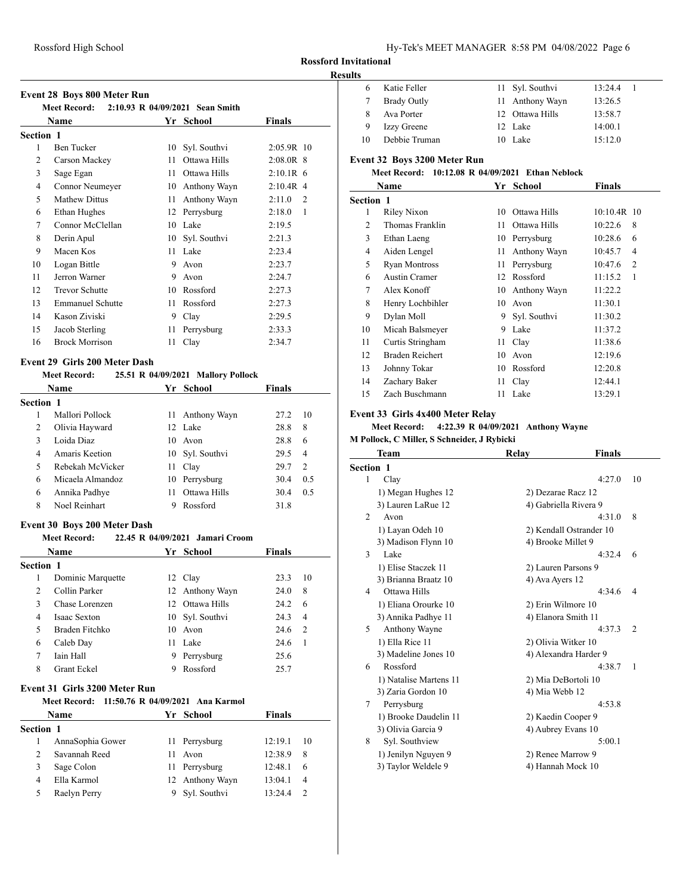| Hy-Tek's MEET MANAGER 8:58 PM 04/08/2022 Page 6 |  |  |  |
|-------------------------------------------------|--|--|--|
|-------------------------------------------------|--|--|--|

## **Results**

| <b>Event 28 Boys 800 Meter Run</b> |  |  |  |  |
|------------------------------------|--|--|--|--|
|------------------------------------|--|--|--|--|

| Meet Record: 2:10.93 R 04/09/2021 Sean Smith |                         |    |              |                          |
|----------------------------------------------|-------------------------|----|--------------|--------------------------|
|                                              | Name                    |    | Yr School    | Finals                   |
| Section 1                                    |                         |    |              |                          |
| 1                                            | <b>Ben Tucker</b>       | 10 | Syl. Southvi | 2:05.9R 10               |
| 2                                            | Carson Mackey           | 11 | Ottawa Hills | $2:08.0R$ 8              |
| 3                                            | Sage Egan               | 11 | Ottawa Hills | $2:10.1R$ 6              |
| 4                                            | Connor Neumeyer         | 10 | Anthony Wayn | $2:10.4R$ 4              |
| 5                                            | <b>Mathew Dittus</b>    | 11 | Anthony Wayn | 2:11.0<br>$\overline{2}$ |
| 6                                            | Ethan Hughes            | 12 | Perrysburg   | 2:18.0<br>1              |
| 7                                            | Connor McClellan        | 10 | Lake         | 2:19.5                   |
| 8                                            | Derin Apul              | 10 | Syl. Southvi | 2:21.3                   |
| 9                                            | Macen Kos               | 11 | Lake         | 2:23.4                   |
| 10                                           | Logan Bittle            | 9  | Avon         | 2:23.7                   |
| 11                                           | Jerron Warner           | 9  | Avon         | 2:24.7                   |
| 12                                           | <b>Trevor Schutte</b>   | 10 | Rossford     | 2:27.3                   |
| 13                                           | <b>Emmanuel Schutte</b> | 11 | Rossford     | 2:27.3                   |
| 14                                           | Kason Ziviski           | 9  | Clay         | 2:29.5                   |
| 15                                           | Jacob Sterling          | 11 | Perrysburg   | 2:33.3                   |
| 16                                           | <b>Brock Morrison</b>   | 11 | Clay         | 2:34.7                   |
|                                              |                         |    |              |                          |

# **Event 29 Girls 200 Meter Dash**

|                  |                     | 25.51 R 04/09/2021 Mallory Pollock |                                                                                                   |                |
|------------------|---------------------|------------------------------------|---------------------------------------------------------------------------------------------------|----------------|
| Name             |                     |                                    | <b>Finals</b>                                                                                     |                |
| <b>Section 1</b> |                     |                                    |                                                                                                   |                |
| Mallori Pollock  |                     |                                    | 27.2                                                                                              | 10             |
| Olivia Hayward   |                     |                                    | 28.8                                                                                              | 8              |
| Loida Diaz       |                     |                                    | 28.8                                                                                              | 6              |
| Amaris Keetion   |                     |                                    | 29.5                                                                                              | $\overline{4}$ |
| Rebekah McVicker |                     |                                    | 29.7                                                                                              | $\overline{2}$ |
| Micaela Almandoz |                     |                                    | 30.4                                                                                              | 0.5            |
| Annika Padhye    | 11                  | Ottawa Hills                       | 30.4                                                                                              | 0.5            |
| Noel Reinhart    |                     | Rossford                           | 31.8                                                                                              |                |
|                  | <b>Meet Record:</b> |                                    | Yr School<br>11 Anthony Wayn<br>12 Lake<br>10 Avon<br>10 Syl. Southvi<br>11 Clay<br>10 Perrysburg |                |

## **Event 30 Boys 200 Meter Dash**

## **Meet Record: 22.45 R 04/09/2021 Jamari Croom**

| <b>Name</b>      |                     |     | Yr School       | <b>Finals</b> |                |
|------------------|---------------------|-----|-----------------|---------------|----------------|
| <b>Section 1</b> |                     |     |                 |               |                |
| 1                | Dominic Marquette   |     | 12 Clay         | 23.3          | 10             |
| 2                | Collin Parker       |     | 12 Anthony Wayn | 24.0          | 8              |
| 3                | Chase Lorenzen      | 12. | Ottawa Hills    | 24.2          | 6              |
| 4                | <b>Isaac Sexton</b> |     | 10 Syl. Southvi | 24.3          | $\overline{4}$ |
| 5                | Braden Fitchko      |     | 10 Avon         | 24.6          | 2              |
| 6                | Caleb Day           | 11  | Lake            | 24.6          |                |
| 7                | Iain Hall           | 9.  | Perrysburg      | 25.6          |                |
| 8                | Grant Eckel         |     | Rossford        | 25.7          |                |

### **Event 31 Girls 3200 Meter Run**

#### **Meet Record: 11:50.76 R 04/09/2021 Ana Karmol**

| <b>Finals</b><br>Yr School<br>Name |                  |    |                 |         |                |
|------------------------------------|------------------|----|-----------------|---------|----------------|
| <b>Section 1</b>                   |                  |    |                 |         |                |
|                                    | AnnaSophia Gower |    | 11 Perrysburg   | 12:19.1 | 10             |
| $\mathcal{L}$                      | Savannah Reed    | 11 | Avon            | 12:38.9 | 8              |
| 3                                  | Sage Colon       |    | 11 Perrysburg   | 12:48.1 | 6              |
| 4                                  | Ella Karmol      |    | 12 Anthony Wayn | 13:04.1 | $\overline{4}$ |
|                                    | Raelyn Perry     |    | 9 Syl. Southvi  | 13:24.4 |                |

| . |    |                    |                 |         |  |
|---|----|--------------------|-----------------|---------|--|
|   |    | Katie Feller       | 11 Syl. Southvi | 13:24.4 |  |
|   |    | <b>Brady Outly</b> | 11 Anthony Wayn | 13:26.5 |  |
|   | 8  | Ava Porter         | 12 Ottawa Hills | 13:58.7 |  |
|   | 9  | <b>Izzy Greene</b> | 12 Lake         | 14:00.1 |  |
|   | 10 | Debbie Truman      | 10 Lake         | 15:12.0 |  |

## **Event 32 Boys 3200 Meter Run**

## **Meet Record: 10:12.08 R 04/09/2021 Ethan Neblock**

|                  | Name                 | Yг | School       | Finals                    |
|------------------|----------------------|----|--------------|---------------------------|
| <b>Section 1</b> |                      |    |              |                           |
| 1                | Riley Nixon          | 10 | Ottawa Hills | $10:10.4R$ 10             |
| $\overline{c}$   | Thomas Franklin      | 11 | Ottawa Hills | 8<br>10:22.6              |
| 3                | Ethan Laeng          | 10 | Perrysburg   | 10:28.6<br>6              |
| 4                | Aiden Lengel         | 11 | Anthony Wayn | 10:45.7<br>4              |
| 5                | <b>Ryan Montross</b> | 11 | Perrysburg   | $\overline{2}$<br>10:47.6 |
| 6                | Austin Cramer        | 12 | Rossford     | 1<br>11:15.2              |
| 7                | Alex Konoff          | 10 | Anthony Wayn | 11:22.2                   |
| 8                | Henry Lochbihler     | 10 | Avon         | 11:30.1                   |
| 9                | Dylan Moll           | 9  | Syl. Southvi | 11:30.2                   |
| 10               | Micah Balsmeyer      | 9  | Lake         | 11:37.2                   |
| 11               | Curtis Stringham     | 11 | Clay         | 11:38.6                   |
| 12               | Braden Reichert      | 10 | Avon         | 12:19.6                   |
| 13               | Johnny Tokar         | 10 | Rossford     | 12:20.8                   |
| 14               | Zachary Baker        | 11 | Clay         | 12:44.1                   |
| 15               | Zach Buschmann       | 11 | Lake         | 13:29.1                   |

#### **Event 33 Girls 4x400 Meter Relay**

### **Meet Record: 4:22.39 R 04/09/2021 Anthony Wayne**

**M Pollock, C Miller, S Schneider, J Rybicki**

|           | Team                   | Relay                   | Finals |                |
|-----------|------------------------|-------------------------|--------|----------------|
| Section 1 |                        |                         |        |                |
| 1         | Clay                   |                         | 4:27.0 | 10             |
|           | 1) Megan Hughes 12     | 2) Dezarae Racz 12      |        |                |
|           | 3) Lauren LaRue 12     | 4) Gabriella Rivera 9   |        |                |
| 2         | Avon                   |                         | 4:31.0 | 8              |
|           | 1) Layan Odeh 10       | 2) Kendall Ostrander 10 |        |                |
|           | 3) Madison Flynn 10    | 4) Brooke Millet 9      |        |                |
| 3         | Lake                   |                         | 4:32.4 | 6              |
|           | 1) Elise Staczek 11    | 2) Lauren Parsons 9     |        |                |
|           | 3) Brianna Braatz 10   | 4) Ava Ayers 12         |        |                |
| 4         | Ottawa Hills           |                         | 4:34.6 | 4              |
|           | 1) Eliana Orourke 10   | 2) Erin Wilmore 10      |        |                |
|           | 3) Annika Padhye 11    | 4) Elanora Smith 11     |        |                |
| 5         | Anthony Wayne          |                         | 4:37.3 | $\overline{2}$ |
|           | 1) Ella Rice 11        | 2) Olivia Witker 10     |        |                |
|           | 3) Madeline Jones 10   | 4) Alexandra Harder 9   |        |                |
| 6         | Rossford               |                         | 4:38.7 | 1              |
|           | 1) Natalise Martens 11 | 2) Mia DeBortoli 10     |        |                |
|           | 3) Zaria Gordon 10     | 4) Mia Webb 12          |        |                |
| 7         | Perrysburg             |                         | 4:53.8 |                |
|           | 1) Brooke Daudelin 11  | 2) Kaedin Cooper 9      |        |                |
|           | 3) Olivia Garcia 9     | 4) Aubrey Evans 10      |        |                |
| 8         | Syl. Southview         |                         | 5:00.1 |                |
|           | 1) Jenilyn Nguyen 9    | 2) Renee Marrow 9       |        |                |
|           | 3) Taylor Weldele 9    | 4) Hannah Mock 10       |        |                |